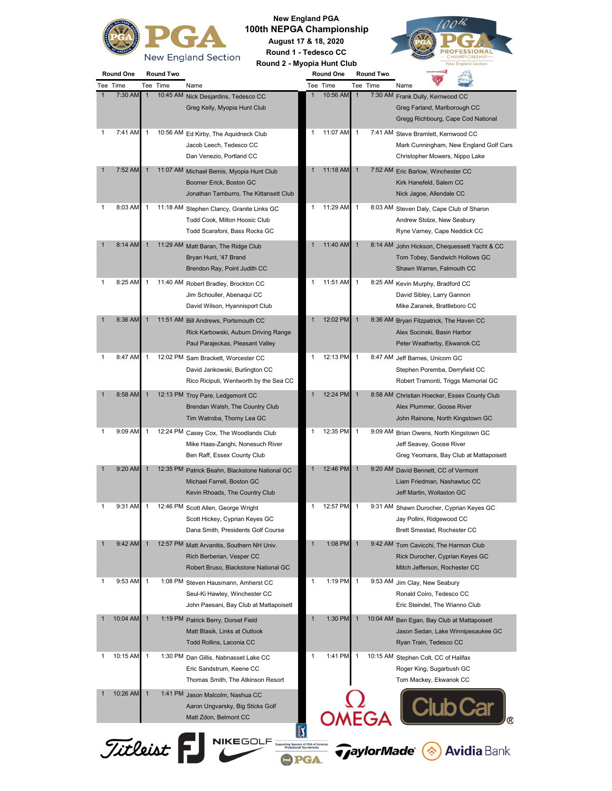

**New England PGA 100th NEPGA Championship August 17 & 18, 2020 Round 1 - Tedesco CC**



**Round One Round Two Round One Round Two Round 2 - Myopia Hunt Club**

| Tee | 1 ime           | Tee          | 1 me     | Name                                                                                                             | Tee          | l ime    | l ee         | 1 <sub>l</sub> me        | Name                                                                                                            |
|-----|-----------------|--------------|----------|------------------------------------------------------------------------------------------------------------------|--------------|----------|--------------|--------------------------|-----------------------------------------------------------------------------------------------------------------|
| 1   | 7:30 AM         | 1            | 10:45 AM | Nick Desjardins, Tedesco CC<br>Greg Kelly, Myopia Hunt Club                                                      | $\mathbf{1}$ | 10:56 AM | $\mathbf{1}$ | 7:30 AM                  | Frank Dully, Kernwood CC<br>Greg Farland, Marlborough CC<br>Gregg Richbourg, Cape Cod National                  |
| 1   | 7:41 AM         | 1            |          | 10:56 AM Ed Kirby, The Aquidneck Club<br>Jacob Leech, Tedesco CC<br>Dan Venezio, Portland CC                     | 1            | 11:07 AM | 1            |                          | 7:41 AM Steve Bramlett, Kernwood CC<br>Mark Cunningham, New England Golf Cars<br>Christopher Mowers, Nippo Lake |
|     | 7:52 AM         | 1            |          | 11:07 AM Michael Bemis, Myopia Hunt Club<br>Boomer Erick, Boston GC<br>Jonathan Tamburro, The Kittansett Club    | $\mathbf{1}$ | 11:18 AM | $\mathbf{1}$ |                          | 7:52 AM Eric Barlow, Winchester CC<br>Kirk Hanefeld, Salem CC<br>Nick Jagoe, Allendale CC                       |
| 1   | 8:03 AM         | 1            |          | 11:18 AM Stephen Clancy, Granite Links GC<br>Todd Cook, Milton Hoosic Club<br>Todd Scarafoni, Bass Rocks GC      | 1            | 11:29 AM | $\mathbf{1}$ |                          | 8:03 AM Steven Daly, Cape Club of Sharon<br>Andrew Stolze, New Seabury<br>Ryne Varney, Cape Neddick CC          |
| 1   | 8:14 AM         | $\mathbf{1}$ |          | 11:29 AM Matt Baran, The Ridge Club<br>Bryan Hunt, '47 Brand<br>Brendon Ray, Point Judith CC                     | $\mathbf{1}$ | 11:40 AM | $\mathbf{1}$ |                          | 8:14 AM John Hickson, Chequessett Yacht & CC<br>Tom Tobey, Sandwich Hollows GC<br>Shawn Warren, Falmouth CC     |
| 1   | 8:25 AM         | 1            |          | 11:40 AM Robert Bradley, Brockton CC<br>Jim Schouller, Abenaqui CC<br>David Wilson, Hyannisport Club             | 1            | 11:51 AM | $\mathbf{1}$ |                          | 8:25 AM Kevin Murphy, Bradford CC<br>David Sibley, Larry Gannon<br>Mike Zaranek, Brattleboro CC                 |
| 1   | 8:36 AM         | $\mathbf{1}$ |          | 11:51 AM Bill Andrews, Portsmouth CC<br>Rick Karbowski, Auburn Driving Range<br>Paul Parajeckas, Pleasant Valley | $\mathbf{1}$ | 12:02 PM | $\mathbf{1}$ |                          | 8:36 AM Bryan Fitzpatrick, The Haven CC<br>Alex Socinski, Basin Harbor<br>Peter Weatherby, Ekwanok CC           |
| 1   | 8:47 AM         | 1            |          | 12:02 PM Sam Brackett, Worcester CC<br>David Jankowski, Burlington CC<br>Rico Riciputi, Wentworth by the Sea CC  | 1            | 12:13 PM | 1            |                          | 8:47 AM Jeff Barnes, Unicorn GC<br>Stephen Poremba, Derryfield CC<br>Robert Tramonti, Triggs Memorial GC        |
|     | 8:58 AM         | $\mathbf{1}$ |          | 12:13 PM Troy Pare, Ledgemont CC<br>Brendan Walsh, The Country Club<br>Tim Watroba, Thorny Lea GC                | $\mathbf{1}$ | 12:24 PM | $\mathbf{1}$ | 8:58 AM                  | Christian Hoecker, Essex County Club<br>Alex Plummer, Goose River<br>John Rainone, North Kingstown GC           |
| 1   | 9:09 AM         | 1            | 12:24 PM | Casey Cox, The Woodlands Club<br>Mike Haas-Zanghi, Nonesuch River<br>Ben Raff, Essex County Club                 | 1            | 12:35 PM | 1            |                          | 9:09 AM Brian Owens, North Kingstown GC<br>Jeff Seavey, Goose River<br>Greg Yeomans, Bay Club at Mattapoisett   |
|     | 9:20 AM         |              | 12:35 PM | Patrick Beahn, Blackstone National GC<br>Michael Farrell, Boston GC<br>Kevin Rhoads, The Country Club            | 1            | 12:46 PM | 1            |                          | 9:20 AM David Bennett, CC of Vermont<br>Liam Friedman, Nashawtuc CC<br>Jeff Martin, Wollaston GC                |
| 1   | 9:31 AM         | 1            |          | 12:46 PM Scott Allen, George Wright<br>Scott Hickey, Cyprian Keyes GC<br>Dana Smith, Presidents Golf Course      | 1            | 12:57 PM | $\mathbf{1}$ |                          | 9:31 AM Shawn Durocher, Cyprian Keyes GC<br>Jay Pollini, Ridgewood CC<br>Brett Smestad, Rochester CC            |
|     | 9:42 AM         |              |          | 12:57 PM Matt Arvanitis, Southern NH Univ.<br>Rich Berberian, Vesper CC<br>Robert Bruso, Blackstone National GC  |              | 1:08 PM  |              |                          | 9:42 AM Tom Cavicchi, The Harmon Club<br>Rick Durocher, Cyprian Keyes GC<br>Mitch Jefferson, Rochester CC       |
| 1   | 9:53 AM         | 1            |          | 1:08 PM Steven Hausmann, Amherst CC<br>Seul-Ki Hawley, Winchester CC<br>John Paesani, Bay Club at Mattapoisett   | 1            | 1:19 PM  | 1            |                          | 9:53 AM Jim Clay, New Seabury<br>Ronald Coiro, Tedesco CC<br>Eric Steindel, The Wianno Club                     |
|     | 10:04 AM        |              |          | 1:19 PM Patrick Berry, Dorset Field<br>Matt Blasik, Links at Outlook<br>Todd Rollins, Laconia CC                 | 1            | 1:30 PM  |              | 10:04 AM                 | Ben Egan, Bay Club at Mattapoisett<br>Jason Sedan, Lake Winnipesaukee GC<br>Ryan Train, Tedesco CC              |
| 1   | 10:15 AM        | 1            |          | 1:30 PM Dan Gillis, Nabnasset Lake CC<br>Eric Sandstrum, Keene CC<br>Thomas Smith, The Atkinson Resort           | 1            | 1:41 PM  | 1            |                          | 10:15 AM Stephen Colt, CC of Halifax<br>Roger King, Sugarbush GC<br>Tom Mackey, Ekwanok CC                      |
|     | 10:26 AM        | $\mathbf{1}$ |          | 1:41 PM Jason Malcolm, Nashua CC<br>Aaron Ungvarsky, Big Sticks Golf<br>Matt Zdon, Belmont CC                    |              |          |              | EGA                      |                                                                                                                 |
|     | <i>Titleist</i> |              |          | <b>NIKEGOLF</b><br>-<br>Supporting Sponsor of PGA of America<br>Professional Tournaments                         |              |          |              | <i><b>TaylorMade</b></i> | <b>Avidia Bank</b>                                                                                              |